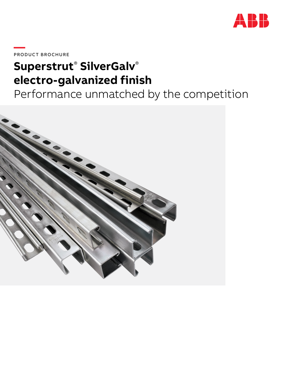

**—**PRODUC T BROCHURE

## **Superstrut**®  **SilverGalv**® **electro-galvanized finish**

Performance unmatched by the competition